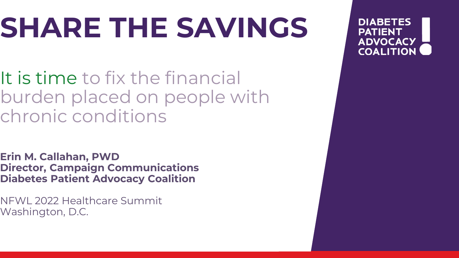## **SHARE THE SAVINGS**

It is time to fix the financial burden placed on people with chronic conditions

**Erin M. Callahan, PWD Director, Campaign Communications Diabetes Patient Advocacy Coalition**

NFWL 2022 Healthcare Summit Washington, D.C.

**DIABETES PATIENT ADVOCACY COALITION**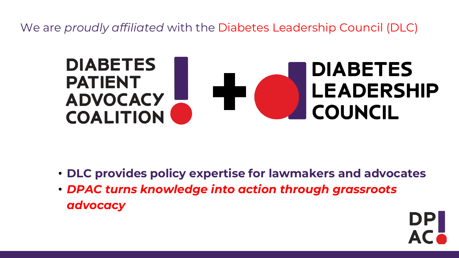We are *proudly affiliated* with the Diabetes Leadership Council (DLC)



- **DLC provides policy expertise for lawmakers and advocates**
- *DPAC turns knowledge into action through grassroots advocacy*

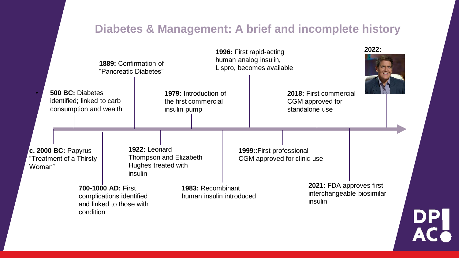### **Diabetes & Management: A brief and incomplete history**

|                                                          |                                                                          | 1889: Confirmation of<br>"Pancreatic Diabetes"                                          |  |                                                                           |                                               |  | 1996: First rapid-acting<br>human analog insulin,<br>Lispro, becomes available |  |                                                              |                                                        | 2022: |    |  |  |
|----------------------------------------------------------|--------------------------------------------------------------------------|-----------------------------------------------------------------------------------------|--|---------------------------------------------------------------------------|-----------------------------------------------|--|--------------------------------------------------------------------------------|--|--------------------------------------------------------------|--------------------------------------------------------|-------|----|--|--|
|                                                          | 500 BC: Diabetes<br>identified; linked to carb<br>consumption and wealth |                                                                                         |  | 1979: Introduction of<br>the first commercial<br>insulin pump             |                                               |  |                                                                                |  | 2018: First commercial<br>CGM approved for<br>standalone use |                                                        |       |    |  |  |
| c. 2000 BC: Papyrus<br>"Treatment of a Thirsty<br>Woman" |                                                                          |                                                                                         |  | 1922: Leonard<br>Thompson and Elizabeth<br>Hughes treated with<br>insulin |                                               |  | 1999:: First professional<br>CGM approved for clinic use                       |  |                                                              |                                                        |       |    |  |  |
|                                                          |                                                                          | 700-1000 AD: First<br>complications identified<br>and linked to those with<br>condition |  |                                                                           | 1983: Recombinant<br>human insulin introduced |  |                                                                                |  | insulin                                                      | 2021: FDA approves first<br>interchangeable biosimilar |       | DP |  |  |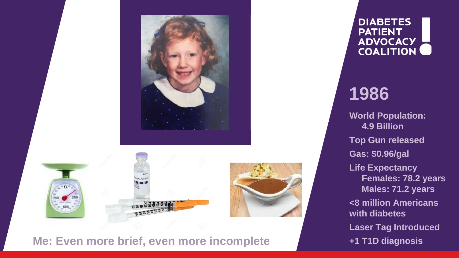

#### **Me: Even more brief, even more incomplete**

**DIABETES PATIENT ADVOCACY COALITION** 

## **1986**

**World Population: 4.9 Billion Top Gun released Gas: \$0.96/gal Life Expectancy Females: 78.2 years Males: 71.2 years <8 million Americans with diabetes Laser Tag Introduced +1 T1D diagnosis**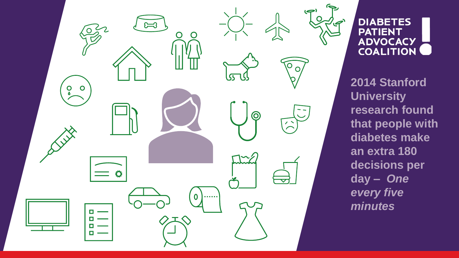

**DIABETES PATIENT ADVOCACY COALITION** 

**2014 Stanford University research found that people with diabetes make an extra 180 decisions per day –** *One every five minutes*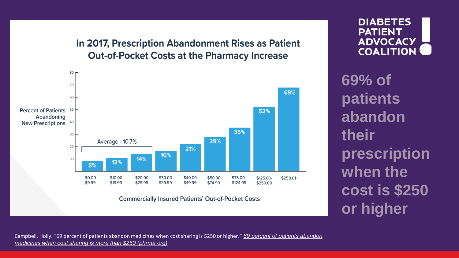In 2017, Prescription Abandonment Rises as Patient **Out-of-Pocket Costs at the Pharmacy Increase** 



**Commercially Insured Patients' Out-of-Pocket Costs** 

**DIABETES PATIENT ADVOCACY COALITION** 

**69% of patients abandon their prescription when the cost is \$250 or higher**

Campbell, Holly. "69 percent of patients abandon medicines when cost sharing is \$250 or higher*." 69 percent of patients abandon medicines when cost sharing is more than \$250 (phrma.org)*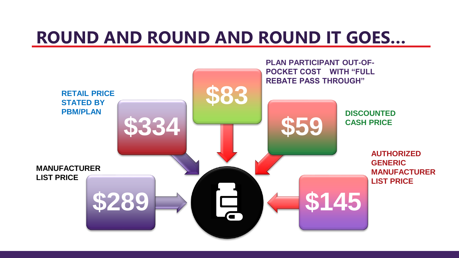### **ROUND AND ROUND AND ROUND IT GOES…**

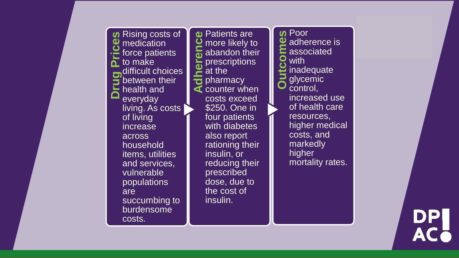

**a** Patients are<br> **C** more likely to<br>
abandon the<br>
prescriptions<br>
at the<br> **C** pharmacy<br> **C** counter when more likely to abandon their prescriptions at the  $\frac{1}{2}$  pharmacy counter when costs exceed \$250. One in four patients with diabetes also report rationing their insulin, or reducing their prescribed dose, due to the cost of insulin.

**O** Poor<br> **C** assoc<br> **Outcomes**<br> **O** glyce<br> **O** contral adherence is  $\blacktriangle$  associated with inadequate glycemic control, increased use of health care resources, higher medical costs, and markedly higher mortality rates.

DP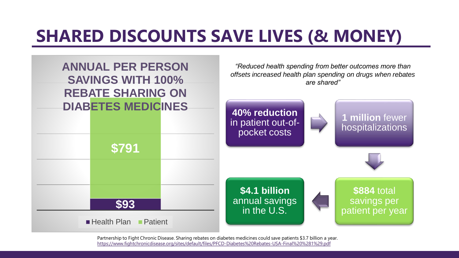## **SHARED DISCOUNTS SAVE LIVES (& MONEY)**



Partnership to Fight Chronic Disease. Sharing rebates on diabetes medicines could save patients \$3.7 billion a year. https://www.fightchronicdisease.org/sites/default/files/PFCD-Diabetes%20Rebates-USA-Final%20%281%29.pdf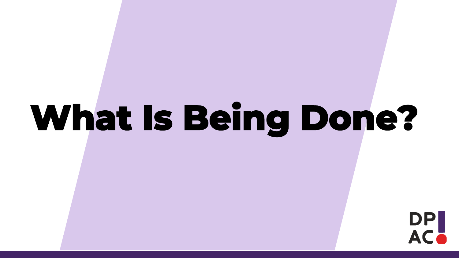# **What Is Being Done?**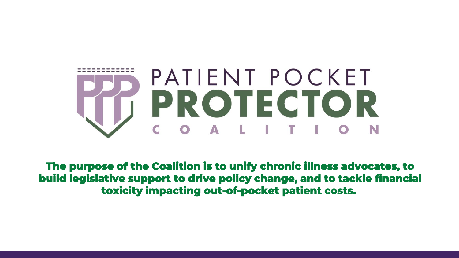

**The purpose of the Coalition is to unify chronic illness advocates, to build legislative support to drive policy change, and to tackle financial toxicity impacting out-of-pocket patient costs.**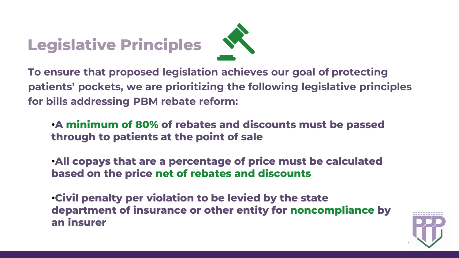## **Legislative Principles**



**To ensure that proposed legislation achieves our goal of protecting patients' pockets, we are prioritizing the following legislative principles for bills addressing PBM rebate reform:**

•**A minimum of 80% of rebates and discounts must be passed through to patients at the point of sale**

•**All copays that are a percentage of price must be calculated based on the price net of rebates and discounts**

•**Civil penalty per violation to be levied by the state department of insurance or other entity for noncompliance by an insurer**

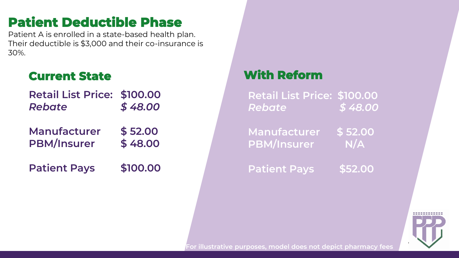### **Patient Deductible Phase**

Patient A is enrolled in a state-based health plan. Their deductible is \$3,000 and their co-insurance is 30%.

### **Current State**

| <b>Retail List Price: \$100.00</b> |         |
|------------------------------------|---------|
| Rebate                             | \$48.00 |

**Manufacturer \$ 52.00 PBM/Insurer \$ 48.00**

**Patient Pays \$100.00** 

### **With Reform**

**Retail List Price: \$100.00** *Rebate \$ 48.00*

**Manufacturer \$ 52.00 PBM/Insurer N/A** 

**Patient Pays \$52.00**